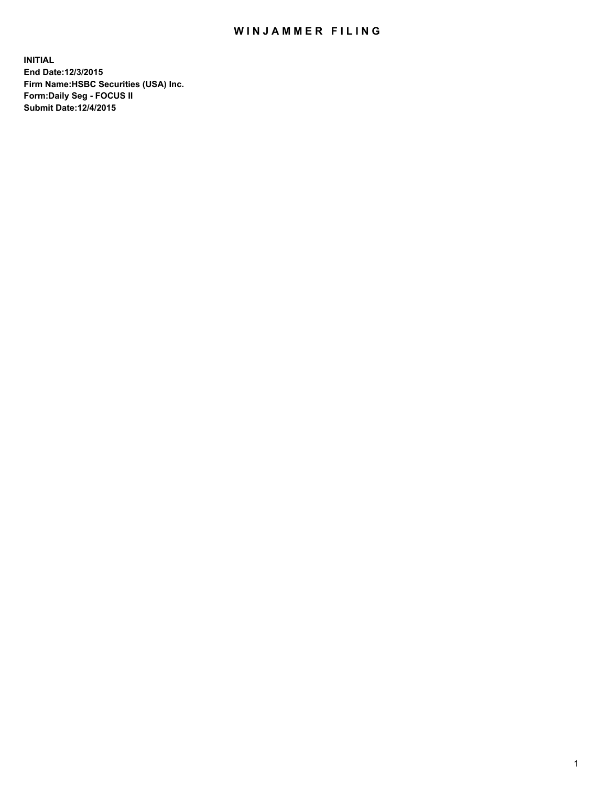## WIN JAMMER FILING

**INITIAL End Date:12/3/2015 Firm Name:HSBC Securities (USA) Inc. Form:Daily Seg - FOCUS II Submit Date:12/4/2015**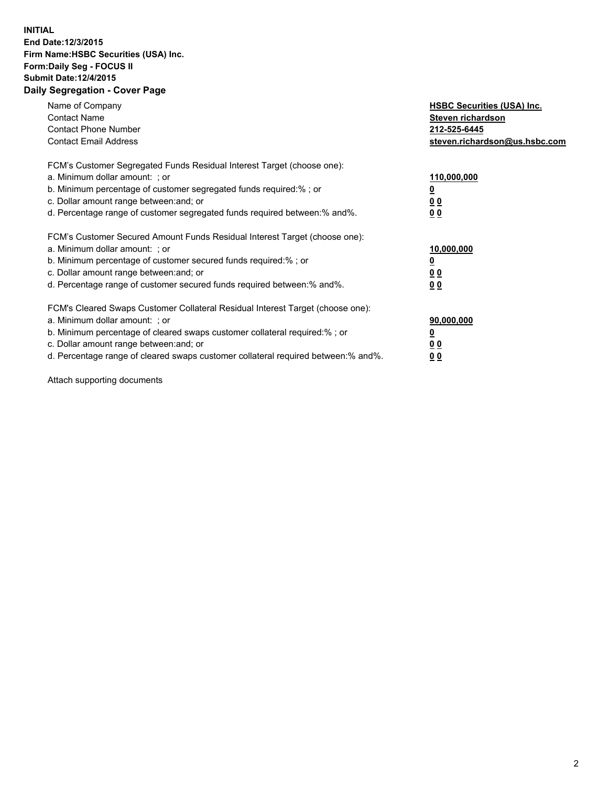## **INITIAL End Date:12/3/2015 Firm Name:HSBC Securities (USA) Inc. Form:Daily Seg - FOCUS II Submit Date:12/4/2015 Daily Segregation - Cover Page**

| Name of Company<br><b>Contact Name</b><br><b>Contact Phone Number</b><br><b>Contact Email Address</b>                                                                                                                                                                                                                         | <b>HSBC Securities (USA) Inc.</b><br>Steven richardson<br>212-525-6445<br>steven.richardson@us.hsbc.com |
|-------------------------------------------------------------------------------------------------------------------------------------------------------------------------------------------------------------------------------------------------------------------------------------------------------------------------------|---------------------------------------------------------------------------------------------------------|
| FCM's Customer Segregated Funds Residual Interest Target (choose one):<br>a. Minimum dollar amount: ; or<br>b. Minimum percentage of customer segregated funds required:%; or<br>c. Dollar amount range between: and; or<br>d. Percentage range of customer segregated funds required between:% and%.                         | 110,000,000<br>00<br>00                                                                                 |
| FCM's Customer Secured Amount Funds Residual Interest Target (choose one):<br>a. Minimum dollar amount: ; or<br>b. Minimum percentage of customer secured funds required:%; or<br>c. Dollar amount range between: and; or<br>d. Percentage range of customer secured funds required between: % and %.                         | 10,000,000<br>0 <sub>0</sub><br>00                                                                      |
| FCM's Cleared Swaps Customer Collateral Residual Interest Target (choose one):<br>a. Minimum dollar amount: ; or<br>b. Minimum percentage of cleared swaps customer collateral required:%; or<br>c. Dollar amount range between: and; or<br>d. Percentage range of cleared swaps customer collateral required between:% and%. | 90,000,000<br><u>0</u><br>00<br>0 <sub>0</sub>                                                          |

Attach supporting documents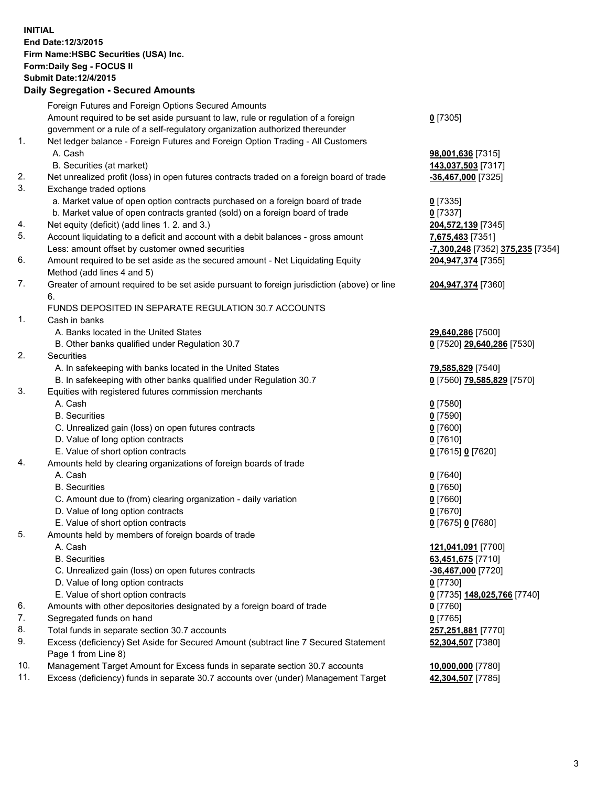**INITIAL End Date:12/3/2015 Firm Name:HSBC Securities (USA) Inc. Form:Daily Seg - FOCUS II Submit Date:12/4/2015**

## **Daily Segregation - Secured Amounts**

|     | Foreign Futures and Foreign Options Secured Amounts                                         |                                  |
|-----|---------------------------------------------------------------------------------------------|----------------------------------|
|     | Amount required to be set aside pursuant to law, rule or regulation of a foreign            | $0$ [7305]                       |
|     | government or a rule of a self-regulatory organization authorized thereunder                |                                  |
| 1.  | Net ledger balance - Foreign Futures and Foreign Option Trading - All Customers             |                                  |
|     | A. Cash                                                                                     | 98,001,636 [7315]                |
|     | B. Securities (at market)                                                                   | 143,037,503 [7317]               |
| 2.  | Net unrealized profit (loss) in open futures contracts traded on a foreign board of trade   | -36,467,000 [7325]               |
| 3.  | Exchange traded options                                                                     |                                  |
|     | a. Market value of open option contracts purchased on a foreign board of trade              | $0$ [7335]                       |
|     | b. Market value of open contracts granted (sold) on a foreign board of trade                | $0$ [7337]                       |
| 4.  | Net equity (deficit) (add lines 1.2. and 3.)                                                | 204,572,139 [7345]               |
| 5.  | Account liquidating to a deficit and account with a debit balances - gross amount           | 7,675,483 [7351]                 |
|     | Less: amount offset by customer owned securities                                            | -7,300,248 [7352] 375,235 [7354] |
| 6.  | Amount required to be set aside as the secured amount - Net Liquidating Equity              | 204,947,374 [7355]               |
|     | Method (add lines 4 and 5)                                                                  |                                  |
| 7.  | Greater of amount required to be set aside pursuant to foreign jurisdiction (above) or line | 204,947,374 [7360]               |
|     | 6.                                                                                          |                                  |
|     | FUNDS DEPOSITED IN SEPARATE REGULATION 30.7 ACCOUNTS                                        |                                  |
| 1.  | Cash in banks                                                                               |                                  |
|     | A. Banks located in the United States                                                       | 29,640,286 [7500]                |
|     | B. Other banks qualified under Regulation 30.7                                              | 0 [7520] 29,640,286 [7530]       |
| 2.  | Securities                                                                                  |                                  |
|     | A. In safekeeping with banks located in the United States                                   | 79,585,829 [7540]                |
|     | B. In safekeeping with other banks qualified under Regulation 30.7                          | 0 [7560] 79,585,829 [7570]       |
| 3.  | Equities with registered futures commission merchants                                       |                                  |
|     | A. Cash                                                                                     | $0$ [7580]                       |
|     | <b>B.</b> Securities                                                                        | $0$ [7590]                       |
|     | C. Unrealized gain (loss) on open futures contracts                                         | $0$ [7600]                       |
|     | D. Value of long option contracts                                                           | $0$ [7610]                       |
|     | E. Value of short option contracts                                                          | 0 [7615] 0 [7620]                |
| 4.  | Amounts held by clearing organizations of foreign boards of trade                           |                                  |
|     | A. Cash                                                                                     | $0$ [7640]                       |
|     | <b>B.</b> Securities                                                                        | $0$ [7650]                       |
|     | C. Amount due to (from) clearing organization - daily variation                             | $0$ [7660]                       |
|     | D. Value of long option contracts                                                           | $0$ [7670]                       |
|     | E. Value of short option contracts                                                          | 0 [7675] 0 [7680]                |
| 5.  | Amounts held by members of foreign boards of trade                                          |                                  |
|     | A. Cash                                                                                     | 121,041,091 [7700]               |
|     | <b>B.</b> Securities                                                                        | 63,451,675 [7710]                |
|     | C. Unrealized gain (loss) on open futures contracts                                         | -36,467,000 [7720]               |
|     | D. Value of long option contracts                                                           | $0$ [7730]                       |
|     | E. Value of short option contracts                                                          | 0 [7735] 148,025,766 [7740]      |
| 6.  | Amounts with other depositories designated by a foreign board of trade                      | $0$ [7760]                       |
| 7.  | Segregated funds on hand                                                                    | $0$ [7765]                       |
| 8.  |                                                                                             |                                  |
| 9.  | Total funds in separate section 30.7 accounts                                               | 257,251,881 [7770]               |
|     | Excess (deficiency) Set Aside for Secured Amount (subtract line 7 Secured Statement         | 52,304,507 [7380]                |
| 10. | Page 1 from Line 8)                                                                         |                                  |
|     | Management Target Amount for Excess funds in separate section 30.7 accounts                 | 10,000,000 [7780]                |
| 11. | Excess (deficiency) funds in separate 30.7 accounts over (under) Management Target          | 42,304,507 [7785]                |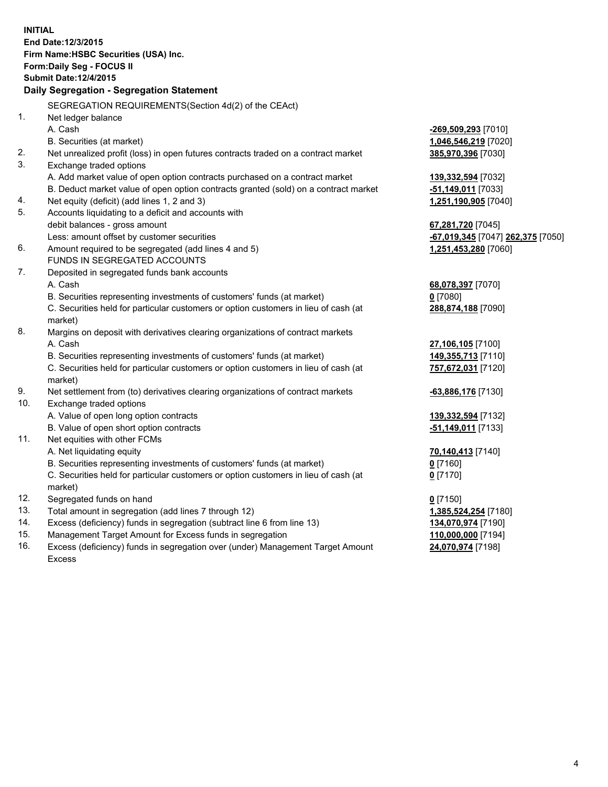| <b>INITIAL</b><br>End Date: 12/3/2015 |                                                                                                |                                   |  |  |
|---------------------------------------|------------------------------------------------------------------------------------------------|-----------------------------------|--|--|
|                                       |                                                                                                |                                   |  |  |
| Firm Name: HSBC Securities (USA) Inc. |                                                                                                |                                   |  |  |
|                                       | Form: Daily Seg - FOCUS II<br><b>Submit Date: 12/4/2015</b>                                    |                                   |  |  |
|                                       |                                                                                                |                                   |  |  |
|                                       | Daily Segregation - Segregation Statement                                                      |                                   |  |  |
|                                       | SEGREGATION REQUIREMENTS(Section 4d(2) of the CEAct)                                           |                                   |  |  |
| 1.                                    | Net ledger balance                                                                             |                                   |  |  |
|                                       | A. Cash                                                                                        | -269,509,293 [7010]               |  |  |
|                                       | B. Securities (at market)                                                                      | 1,046,546,219 [7020]              |  |  |
| 2.                                    | Net unrealized profit (loss) in open futures contracts traded on a contract market             | 385,970,396 [7030]                |  |  |
| 3.                                    | Exchange traded options                                                                        |                                   |  |  |
|                                       | A. Add market value of open option contracts purchased on a contract market                    | 139,332,594 [7032]                |  |  |
|                                       | B. Deduct market value of open option contracts granted (sold) on a contract market            | -51,149,011 [7033]                |  |  |
| 4.                                    | Net equity (deficit) (add lines 1, 2 and 3)                                                    | 1,251,190,905 [7040]              |  |  |
| 5.                                    | Accounts liquidating to a deficit and accounts with                                            |                                   |  |  |
|                                       | debit balances - gross amount                                                                  | 67,281,720 [7045]                 |  |  |
|                                       | Less: amount offset by customer securities                                                     | -67,019,345 [7047] 262,375 [7050] |  |  |
| 6.                                    | Amount required to be segregated (add lines 4 and 5)                                           | 1,251,453,280 [7060]              |  |  |
|                                       | FUNDS IN SEGREGATED ACCOUNTS                                                                   |                                   |  |  |
| 7.                                    | Deposited in segregated funds bank accounts                                                    |                                   |  |  |
|                                       | A. Cash                                                                                        | 68,078,397 [7070]                 |  |  |
|                                       | B. Securities representing investments of customers' funds (at market)                         | $0$ [7080]                        |  |  |
|                                       | C. Securities held for particular customers or option customers in lieu of cash (at            | 288,874,188 [7090]                |  |  |
|                                       | market)                                                                                        |                                   |  |  |
| 8.                                    | Margins on deposit with derivatives clearing organizations of contract markets                 |                                   |  |  |
|                                       | A. Cash                                                                                        | 27,106,105 [7100]                 |  |  |
|                                       | B. Securities representing investments of customers' funds (at market)                         | 149, 355, 713 [7110]              |  |  |
|                                       | C. Securities held for particular customers or option customers in lieu of cash (at            | 757,672,031 [7120]                |  |  |
|                                       | market)                                                                                        |                                   |  |  |
| 9.                                    | Net settlement from (to) derivatives clearing organizations of contract markets                | -63,886,176 [7130]                |  |  |
| 10.                                   | Exchange traded options                                                                        |                                   |  |  |
|                                       | A. Value of open long option contracts                                                         | 139,332,594 [7132]                |  |  |
|                                       | B. Value of open short option contracts                                                        | -51,149,011 [7133]                |  |  |
| 11.                                   | Net equities with other FCMs                                                                   |                                   |  |  |
|                                       | A. Net liquidating equity                                                                      | 70,140,413 [7140]                 |  |  |
|                                       | B. Securities representing investments of customers' funds (at market)                         | $0$ [7160]                        |  |  |
|                                       | C. Securities held for particular customers or option customers in lieu of cash (at<br>market) | $0$ [7170]                        |  |  |
| 12.                                   | Segregated funds on hand                                                                       | $0$ [7150]                        |  |  |
| 13.                                   | Total amount in segregation (add lines 7 through 12)                                           | 1,385,524,254 [7180]              |  |  |
| 14.                                   | Excess (deficiency) funds in segregation (subtract line 6 from line 13)                        | 134,070,974 [7190]                |  |  |
| 15.                                   | Management Target Amount for Excess funds in segregation                                       | 110,000,000 [7194]                |  |  |
| 16.                                   | Excess (deficiency) funds in segregation over (under) Management Target Amount                 | 24,070,974 [7198]                 |  |  |

16. Excess (deficiency) funds in segregation over (under) Management Target Amount Excess